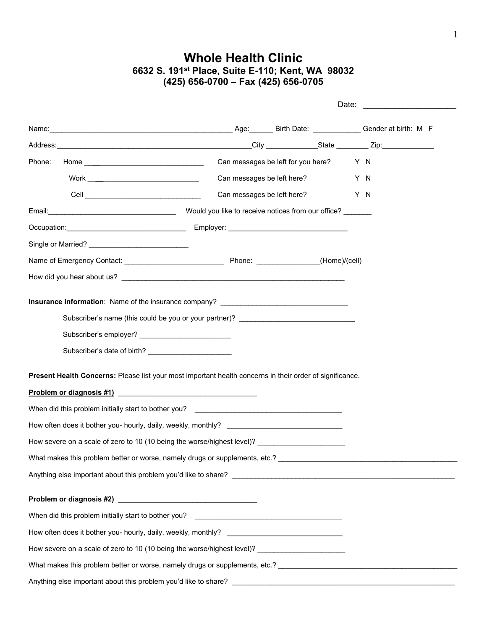## **Whole Health Clinic 6632 S. 191st Place, Suite E-110; Kent, WA 98032 (425) 656-0700 – Fax (425) 656-0705**

|        |                                                                                                                                                    |                            |                                        | Date: <u>__________________________</u> |  |
|--------|----------------------------------------------------------------------------------------------------------------------------------------------------|----------------------------|----------------------------------------|-----------------------------------------|--|
|        | Name: Gender at birth: M F                                                                                                                         |                            |                                        |                                         |  |
|        |                                                                                                                                                    |                            |                                        |                                         |  |
| Phone: |                                                                                                                                                    |                            | Can messages be left for you here? Y N |                                         |  |
|        | $\text{Work} \textcolor{red}{\overbrace{ \text{max} } } \textcolor{red}{ \text{max} } \textcolor{red}{ \text{max} } \textcolor{red}{ \text{max} }$ | Can messages be left here? |                                        | Y N                                     |  |
|        |                                                                                                                                                    | Can messages be left here? |                                        | Y N                                     |  |
|        |                                                                                                                                                    |                            |                                        |                                         |  |
|        |                                                                                                                                                    |                            |                                        |                                         |  |
|        |                                                                                                                                                    |                            |                                        |                                         |  |
|        |                                                                                                                                                    |                            |                                        |                                         |  |
|        |                                                                                                                                                    |                            |                                        |                                         |  |
|        | Present Health Concerns: Please list your most important health concerns in their order of significance.                                           |                            |                                        |                                         |  |
|        |                                                                                                                                                    |                            |                                        |                                         |  |
|        | How often does it bother you- hourly, daily, weekly, monthly? ___________________                                                                  |                            |                                        |                                         |  |
|        | How severe on a scale of zero to 10 (10 being the worse/highest level)?                                                                            |                            |                                        |                                         |  |
|        | What makes this problem better or worse, namely drugs or supplements, etc.?                                                                        |                            |                                        |                                         |  |
|        |                                                                                                                                                    |                            |                                        |                                         |  |
|        |                                                                                                                                                    |                            |                                        |                                         |  |
|        |                                                                                                                                                    |                            |                                        |                                         |  |
|        | How often does it bother you- hourly, daily, weekly, monthly?                                                                                      |                            |                                        |                                         |  |
|        | How severe on a scale of zero to 10 (10 being the worse/highest level)? ____________________________                                               |                            |                                        |                                         |  |
|        |                                                                                                                                                    |                            |                                        |                                         |  |
|        |                                                                                                                                                    |                            |                                        |                                         |  |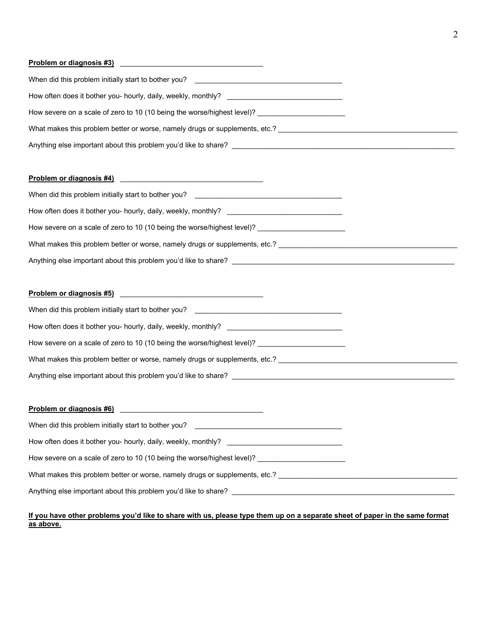# **Problem or diagnosis #3)** \_\_\_\_\_\_\_\_\_\_\_\_\_\_\_\_\_\_\_\_\_\_\_\_\_\_\_\_\_\_\_\_\_\_\_\_

| When did this problem initially start to bother you?<br><u> 1980 - Jan Samuel Barbara, martin da shekara 1980 - An an A</u> |
|-----------------------------------------------------------------------------------------------------------------------------|
| How often does it bother you- hourly, daily, weekly, monthly?                                                               |
| How severe on a scale of zero to 10 (10 being the worse/highest level)?                                                     |
| What makes this problem better or worse, namely drugs or supplements, etc.?                                                 |
| Anything else important about this problem you'd like to share?                                                             |

## **Problem or diagnosis #4)** \_\_\_\_\_\_\_\_\_\_\_\_\_\_\_\_\_\_\_\_\_\_\_\_\_\_\_\_\_\_\_\_\_\_\_\_

| When did this problem initially start to bother you?<br><u> 2001 - John Stein, Amerikaansk politiker (</u> |  |
|------------------------------------------------------------------------------------------------------------|--|
| How often does it bother you- hourly, daily, weekly, monthly?                                              |  |
| How severe on a scale of zero to 10 (10 being the worse/highest level)?                                    |  |
| What makes this problem better or worse, namely drugs or supplements, etc.?                                |  |
| Anything else important about this problem you'd like to share?                                            |  |

# **Problem or diagnosis #5)** \_\_\_\_\_\_\_\_\_\_\_\_\_\_\_\_\_\_\_\_\_\_\_\_\_\_\_\_\_\_\_\_\_\_\_\_

| When did this problem initially start to bother you?                             |  |
|----------------------------------------------------------------------------------|--|
| How often does it bother you- hourly, daily, weekly, monthly? __________________ |  |
| How severe on a scale of zero to 10 (10 being the worse/highest level)?          |  |
| What makes this problem better or worse, namely drugs or supplements, etc.?      |  |
| Anything else important about this problem you'd like to share?                  |  |

### **Problem or diagnosis #6)** \_\_\_\_\_\_\_\_\_\_\_\_\_\_\_\_\_\_\_\_\_\_\_\_\_\_\_\_\_\_\_\_\_\_\_\_

| When did this problem initially start to bother you?<br><u> 1980 - Jan Stein Berlin, amerikan berlindar (</u> |  |
|---------------------------------------------------------------------------------------------------------------|--|
| How often does it bother you- hourly, daily, weekly, monthly?                                                 |  |
| How severe on a scale of zero to 10 (10 being the worse/highest level)?                                       |  |
| What makes this problem better or worse, namely drugs or supplements, etc.?                                   |  |
| Anything else important about this problem you'd like to share?                                               |  |

#### **If you have other problems you'd like to share with us, please type them up on a separate sheet of paper in the same format as above.**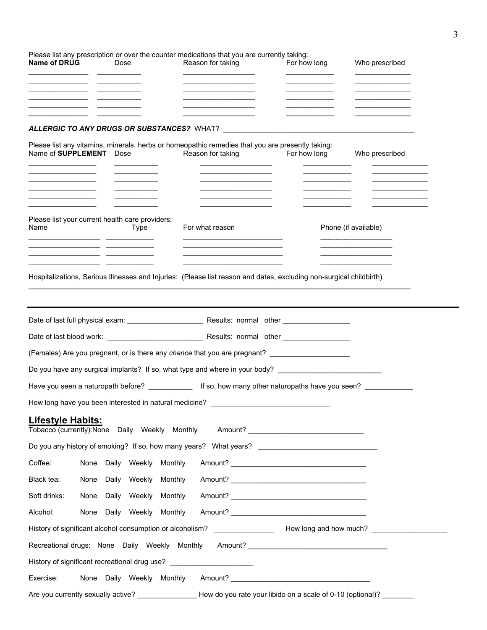| <b>Name of DRUG</b>                                        | Dose |      |                           | Please list any prescription or over the counter medications that you are currently taking:<br>Reason for taking      | For how long                                                                                                        | Who prescribed       |
|------------------------------------------------------------|------|------|---------------------------|-----------------------------------------------------------------------------------------------------------------------|---------------------------------------------------------------------------------------------------------------------|----------------------|
|                                                            |      |      |                           |                                                                                                                       |                                                                                                                     |                      |
|                                                            |      |      |                           |                                                                                                                       |                                                                                                                     |                      |
|                                                            |      |      |                           | ALLERGIC TO ANY DRUGS OR SUBSTANCES? WHAT?                                                                            |                                                                                                                     |                      |
| Name of SUPPLEMENT Dose                                    |      |      |                           | Please list any vitamins, minerals, herbs or homeopathic remedies that you are presently taking:<br>Reason for taking | For how long                                                                                                        | Who prescribed       |
|                                                            |      |      |                           |                                                                                                                       |                                                                                                                     |                      |
|                                                            |      |      |                           |                                                                                                                       |                                                                                                                     |                      |
|                                                            |      |      |                           |                                                                                                                       |                                                                                                                     |                      |
| Please list your current health care providers:<br>Name    |      | Type |                           | For what reason                                                                                                       |                                                                                                                     | Phone (if available) |
| <u> 1989 - Johann John Stein, fransk politik (f. 1989)</u> |      |      |                           |                                                                                                                       |                                                                                                                     |                      |
|                                                            |      |      |                           |                                                                                                                       |                                                                                                                     |                      |
|                                                            |      |      |                           |                                                                                                                       | Hospitalizations, Serious Illnesses and Injuries: (Please list reason and dates, excluding non-surgical childbirth) |                      |
|                                                            |      |      |                           |                                                                                                                       |                                                                                                                     |                      |
|                                                            |      |      |                           |                                                                                                                       |                                                                                                                     |                      |
|                                                            |      |      |                           |                                                                                                                       |                                                                                                                     |                      |
|                                                            |      |      |                           |                                                                                                                       | (Females) Are you pregnant, or is there any chance that you are pregnant? _________________________                 |                      |
|                                                            |      |      |                           |                                                                                                                       | Do you have any surgical implants? If so, what type and where in your body? _______________________                 |                      |
|                                                            |      |      |                           |                                                                                                                       | Have you seen a naturopath before? ________________ If so, how many other naturopaths have you seen?                |                      |
| How long have you been interested in natural medicine?     |      |      |                           |                                                                                                                       |                                                                                                                     |                      |
| <u> Lifestyle Habits:</u>                                  |      |      |                           |                                                                                                                       | Tobacco (currently):None Daily Weekly Monthly Amount? __________________________                                    |                      |
|                                                            |      |      |                           |                                                                                                                       | Do you any history of smoking? If so, how many years? What years? __________________________________                |                      |
| Coffee:                                                    |      |      | None Daily Weekly Monthly |                                                                                                                       |                                                                                                                     |                      |
| Black tea:                                                 |      |      | None Daily Weekly Monthly |                                                                                                                       |                                                                                                                     |                      |
| Soft drinks:                                               |      |      | None Daily Weekly Monthly |                                                                                                                       |                                                                                                                     |                      |
| Alcohol:                                                   |      |      | None Daily Weekly Monthly |                                                                                                                       |                                                                                                                     |                      |
|                                                            |      |      |                           |                                                                                                                       |                                                                                                                     |                      |
|                                                            |      |      |                           |                                                                                                                       | Recreational drugs: None Daily Weekly Monthly Amount? __________________________                                    |                      |
|                                                            |      |      |                           | History of significant recreational drug use? __________________________________                                      |                                                                                                                     |                      |
| Exercise:                                                  |      |      | None Daily Weekly Monthly |                                                                                                                       |                                                                                                                     |                      |
|                                                            |      |      |                           |                                                                                                                       | How do you rate your libido on a scale of 0-10 (optional)?                                                          |                      |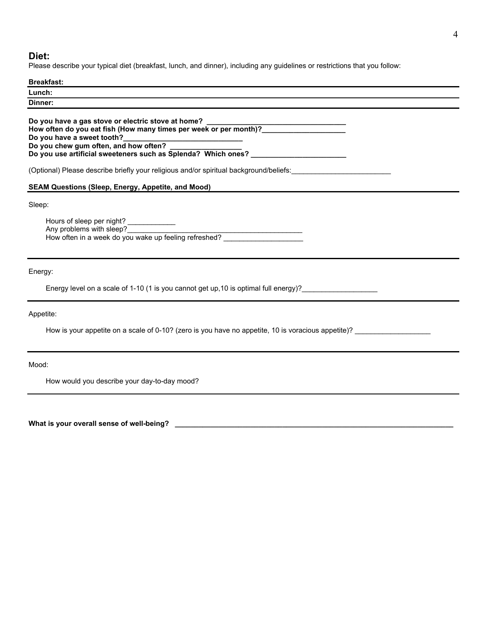#### **Diet:**

Please describe your typical diet (breakfast, lunch, and dinner), including any guidelines or restrictions that you follow:

#### **Breakfast:**

| Lunch:<br>-------- |  |  |
|--------------------|--|--|
| Dinner:            |  |  |
|                    |  |  |

**Do you have a gas stove or electric stove at home? \_\_\_\_\_\_\_\_\_\_\_\_\_\_\_\_\_\_\_\_\_\_\_\_\_\_\_\_\_\_\_\_\_\_\_ How often do you eat fish (How many times per week or per month)?\_\_\_\_\_\_\_\_\_\_\_\_\_\_\_\_\_\_\_\_\_ Do you have a sweet tooth?\_\_\_\_\_\_\_\_\_\_\_\_\_\_\_\_\_\_\_\_\_\_\_\_\_\_\_\_\_\_ Do you chew gum often, and how often? \_\_\_\_\_\_\_\_\_\_\_\_\_\_\_\_\_\_ Do you use artificial sweeteners such as Splenda? Which ones? \_\_\_\_\_\_\_\_\_\_\_\_\_\_\_\_\_\_\_\_\_\_\_\_**

(Optional) Please describe briefly your religious and/or spiritual background/beliefs:\_\_\_\_\_\_\_\_\_\_\_\_\_\_\_\_\_\_\_\_\_\_\_\_\_

#### **SEAM Questions (Sleep, Energy, Appetite, and Mood)**

#### Sleep:

Hours of sleep per night? Any problems with sleep? How often in a week do you wake up feeling refreshed?

#### Energy:

Energy level on a scale of 1-10 (1 is you cannot get up, 10 is optimal full energy)?\_\_\_\_\_\_\_\_\_\_\_\_\_\_\_\_\_\_\_\_\_\_\_\_\_

#### Appetite:

How is your appetite on a scale of 0-10? (zero is you have no appetite, 10 is voracious appetite)?

Mood:

How would you describe your day-to-day mood?

**What is your overall sense of well-being? \_\_\_\_\_\_\_\_\_\_\_\_\_\_\_\_\_\_\_\_\_\_\_\_\_\_\_\_\_\_\_\_\_\_\_\_\_\_\_\_\_\_\_\_\_\_\_\_\_\_\_\_\_\_\_\_\_\_\_\_\_\_\_\_\_\_\_\_\_\_**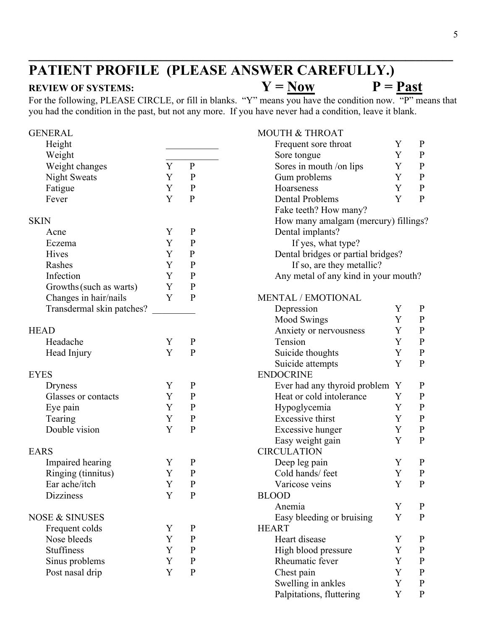# **PATIENT PROFILE (PLEASE ANSWER CAREFULLY.)**<br>REVIEW OF SYSTEMS:  $Y = Now$   $P =$

## **REVIEW OF SYSTEMS:**  $Y = Now$   $P = \text{Row}$

For the following, PLEASE CIRCLE, or fill in blanks. "Y" means you have the condition now. "P" means that you had the condition in the past, but not any more. If you have never had a condition, leave it blank.

**\_\_\_\_\_\_\_\_\_\_\_\_\_\_\_\_\_\_\_\_\_\_\_\_\_\_\_\_\_\_\_\_\_\_\_\_\_\_\_\_\_\_\_\_\_\_\_\_\_\_\_\_\_\_\_\_\_\_\_\_\_\_\_\_\_\_\_\_\_\_\_\_\_\_\_\_\_\_\_\_**

| <b>GENERAL</b>            |   |              | <b>MOUTH &amp; THROAT</b>            |             |              |
|---------------------------|---|--------------|--------------------------------------|-------------|--------------|
| Height                    |   |              | Frequent sore throat                 | Y           | $\mathbf{P}$ |
| Weight                    |   |              | Sore tongue                          | Y           | $\mathbf{P}$ |
| Weight changes            | Y | ${\bf P}$    | Sores in mouth /on lips              | Y           | ${\bf P}$    |
| <b>Night Sweats</b>       | Y | $\mathbf{P}$ | Gum problems                         | Y           | ${\bf P}$    |
| Fatigue                   | Y | ${\bf P}$    | Hoarseness                           | Y           | ${\bf P}$    |
| Fever                     | Y | ${\bf P}$    | <b>Dental Problems</b>               | Y           | $\mathbf{P}$ |
|                           |   |              | Fake teeth? How many?                |             |              |
| <b>SKIN</b>               |   |              | How many amalgam (mercury) fillings? |             |              |
| Acne                      | Y | $\mathbf{P}$ | Dental implants?                     |             |              |
| Eczema                    | Y | $\mathbf{P}$ | If yes, what type?                   |             |              |
| Hives                     | Y | ${\bf P}$    | Dental bridges or partial bridges?   |             |              |
| Rashes                    | Y | ${\bf P}$    | If so, are they metallic?            |             |              |
| Infection                 | Y | ${\bf P}$    | Any metal of any kind in your mouth? |             |              |
| Growths (such as warts)   | Y | $\mathbf{P}$ |                                      |             |              |
| Changes in hair/nails     | Y | $\, {\bf P}$ | MENTAL / EMOTIONAL                   |             |              |
| Transdermal skin patches? |   |              | Depression                           | Y           | $\mathbf{P}$ |
|                           |   |              | Mood Swings                          | Y           | $\mathbf{P}$ |
| <b>HEAD</b>               |   |              | Anxiety or nervousness               | Y           | ${\bf P}$    |
| Headache                  | Y | $\mathbf P$  | Tension                              | Y           | ${\bf P}$    |
| Head Injury               | Y | $\mathbf{P}$ | Suicide thoughts                     | Y           | ${\bf P}$    |
|                           |   |              | Suicide attempts                     | Y           | $\mathbf{P}$ |
| <b>EYES</b>               |   |              | <b>ENDOCRINE</b>                     |             |              |
| Dryness                   | Y | $\mathbf{P}$ | Ever had any thyroid problem Y       |             | $\mathbf{P}$ |
| Glasses or contacts       | Y | $\mathbf{P}$ | Heat or cold intolerance             | Y           | $\mathbf P$  |
| Eye pain                  | Y | $\mathbf{P}$ | Hypoglycemia                         | Y           | ${\bf P}$    |
| Tearing                   | Y | $\mathbf{P}$ | Excessive thirst                     | Y           | ${\bf P}$    |
| Double vision             | Y | ${\bf P}$    | Excessive hunger                     | Y           | ${\bf P}$    |
|                           |   |              | Easy weight gain                     | Y           | ${\bf P}$    |
| <b>EARS</b>               |   |              | <b>CIRCULATION</b>                   |             |              |
| Impaired hearing          | Y | $\mathbf{P}$ | Deep leg pain                        | Y           | $\mathbf P$  |
| Ringing (tinnitus)        | Y | ${\bf P}$    | Cold hands/ feet                     | $\mathbf Y$ | ${\bf P}$    |
| Ear ache/itch             | Y | $\mathbf{P}$ | Varicose veins                       | Y           | $\mathbf{P}$ |
| <b>Dizziness</b>          | Y | $\mathbf{P}$ | <b>BLOOD</b>                         |             |              |
|                           |   |              | Anemia                               | Y           | $\mathbf{P}$ |
| <b>NOSE &amp; SINUSES</b> |   |              | Easy bleeding or bruising            | Y           | ${\bf P}$    |
| Frequent colds            | Y | $\mathbf{P}$ | <b>HEART</b>                         |             |              |
| Nose bleeds               | Y | $\mathbf{P}$ | Heart disease                        | Y           | $\mathbf{P}$ |
| <b>Stuffiness</b>         | Y | $\mathbf{P}$ | High blood pressure                  | Y           | $\mathbf{P}$ |
| Sinus problems            | Y | $\mathbf P$  | Rheumatic fever                      | Y           | $\mathbf{P}$ |
| Post nasal drip           | Y | $\, {\bf P}$ | Chest pain                           | Y           | $\mathbf{P}$ |
|                           |   |              | Swelling in ankles                   | Y           | $\mathbf P$  |
|                           |   |              | Palpitations, fluttering             | Y           | $\mathbf{P}$ |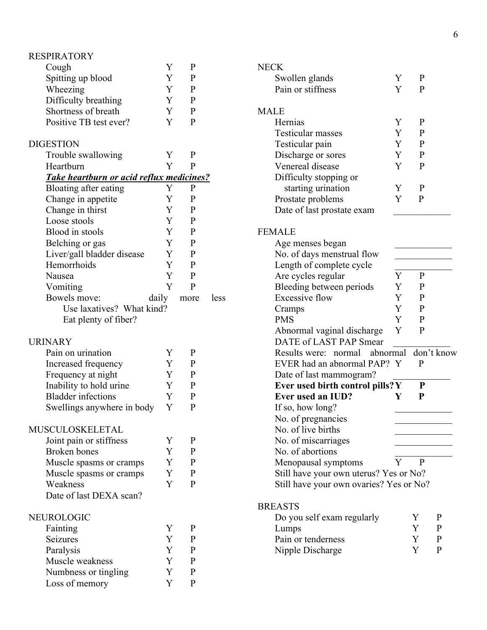| <b>RESPIRATORY</b>                              |   |              |  |
|-------------------------------------------------|---|--------------|--|
| Cough                                           | Y | $\mathbf{P}$ |  |
| Spitting up blood                               | Y | $\mathbf{P}$ |  |
| Wheezing                                        | Y | $\mathbf{P}$ |  |
| Difficulty breathing                            | Y | $\mathbf{P}$ |  |
| Shortness of breath                             | Y | $\mathbf{P}$ |  |
| Positive TB test ever?                          | Y | $\mathbf{P}$ |  |
|                                                 |   |              |  |
| <b>DIGESTION</b>                                |   |              |  |
| Trouble swallowing                              | Y | P            |  |
| Heartburn                                       | Y | $\mathbf{P}$ |  |
| <b>Take heartburn or acid reflux medicines?</b> |   |              |  |
| Bloating after eating                           | Y | P            |  |
|                                                 | Y | P            |  |
| Change in appetite                              | Y | $\mathbf{P}$ |  |
| Change in thirst                                |   |              |  |
| Loose stools                                    | Y | $\mathbf{P}$ |  |
| Blood in stools                                 | Y | $\mathbf{P}$ |  |
| Belching or gas                                 | Y | $\mathbf{P}$ |  |
| Liver/gall bladder disease                      | Y | $\mathbf{P}$ |  |
| Hemorrhoids                                     | Y | $\mathbf{P}$ |  |
| Nausea                                          | Y | $\mathbf{P}$ |  |
| Vomiting                                        | Y | P            |  |
| daily<br>Bowels move:                           |   | more         |  |
| Use laxatives? What kind?                       |   |              |  |
| Eat plenty of fiber?                            |   |              |  |
|                                                 |   |              |  |
| <b>URINARY</b>                                  |   |              |  |
| Pain on urination                               | Y | $\mathbf{P}$ |  |
| Increased frequency                             | Y | P            |  |
| Frequency at night                              | Y | $\mathbf{P}$ |  |
| Inability to hold urine                         | Y | $\mathbf{P}$ |  |
| <b>Bladder</b> infections                       | Y | $\mathbf{P}$ |  |
| Swellings anywhere in body                      | Y | P            |  |
|                                                 |   |              |  |
| MUSCULOSKELETAL                                 |   |              |  |
| Joint pain or stiffness                         | Y | $\mathbf{P}$ |  |
| <b>Broken</b> bones                             | Y | $\mathbf{P}$ |  |
| Muscle spasms or cramps                         | Y | $\mathbf{P}$ |  |
| Muscle spasms or cramps                         | Y | $\mathbf{P}$ |  |
| Weakness                                        | Y | $\mathbf{P}$ |  |
| Date of last DEXA scan?                         |   |              |  |
|                                                 |   |              |  |
| NEUROLOGIC                                      |   |              |  |
| Fainting                                        | Y | $\mathbf{P}$ |  |
| Seizures                                        | Y | $\mathbf{P}$ |  |
| Paralysis                                       | Y | $\mathbf{P}$ |  |
| Muscle weakness                                 | Y | $\mathbf{P}$ |  |
|                                                 | Y |              |  |
| Numbness or tingling                            |   | $\mathbf{P}$ |  |
| Loss of memory                                  | Y | $\mathbf{P}$ |  |

less

| <b>NECK</b>                                          |   |              |              |
|------------------------------------------------------|---|--------------|--------------|
| Swollen glands                                       | Y | P            |              |
| Pain or stiffness                                    | Y | P            |              |
|                                                      |   |              |              |
| <b>MALE</b>                                          |   |              |              |
| Hernias                                              | Y | P            |              |
| Testicular masses                                    | Y | P            |              |
| Testicular pain                                      | Y | P            |              |
| Discharge or sores                                   | Y | $\mathbf{P}$ |              |
| Venereal disease                                     | Y | P            |              |
| Difficulty stopping or                               |   |              |              |
| starting urination                                   | Y | P            |              |
| Prostate problems                                    | Y | P            |              |
| Date of last prostate exam                           |   |              |              |
|                                                      |   |              |              |
| <b>FEMALE</b>                                        |   |              |              |
| Age menses began                                     |   |              |              |
| No. of days menstrual flow                           |   |              |              |
| Length of complete cycle                             |   |              |              |
| Are cycles regular                                   | Y | $\mathbf{P}$ |              |
| Bleeding between periods                             | Y | P            |              |
| <b>Excessive flow</b>                                | Y | P            |              |
|                                                      | Y | P            |              |
| Cramps<br><b>PMS</b>                                 | Y |              |              |
|                                                      |   | $\mathbf{P}$ |              |
| Abnormal vaginal discharge<br>DATE of LAST PAP Smear | Y | P            |              |
| Results were: normal abnormal                        |   |              | don't know   |
| EVER had an abnormal PAP? Y                          |   | P            |              |
| Date of last mammogram?                              |   |              |              |
| Ever used birth control pills? Y                     |   | P            |              |
| <b>Ever used an IUD?</b>                             | Y | P            |              |
| If so, how long?                                     |   |              |              |
| No. of pregnancies                                   |   |              |              |
| No. of live births                                   |   |              |              |
| No. of miscarriages                                  |   |              |              |
| No. of abortions                                     |   |              |              |
| Menopausal symptoms                                  | Y | P            |              |
| Still have your own uterus? Yes or No?               |   |              |              |
| Still have your own ovaries? Yes or No?              |   |              |              |
|                                                      |   |              |              |
| <b>BREASTS</b>                                       |   |              |              |
| Do you self exam regularly                           |   | Y            | P            |
| Lumps                                                |   | Y            | $\mathbf P$  |
| Pain or tenderness                                   |   | Y            | $\mathbf{P}$ |
| Nipple Discharge                                     |   | Y            | P            |
|                                                      |   |              |              |
|                                                      |   |              |              |
|                                                      |   |              |              |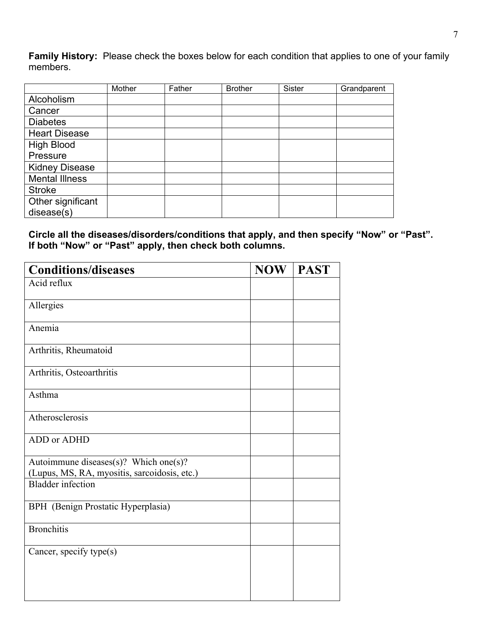**Family History:** Please check the boxes below for each condition that applies to one of your family members.

|                       | Mother | Father | <b>Brother</b> | Sister | Grandparent |
|-----------------------|--------|--------|----------------|--------|-------------|
| Alcoholism            |        |        |                |        |             |
| Cancer                |        |        |                |        |             |
| <b>Diabetes</b>       |        |        |                |        |             |
| <b>Heart Disease</b>  |        |        |                |        |             |
| <b>High Blood</b>     |        |        |                |        |             |
| Pressure              |        |        |                |        |             |
| <b>Kidney Disease</b> |        |        |                |        |             |
| <b>Mental Illness</b> |        |        |                |        |             |
| <b>Stroke</b>         |        |        |                |        |             |
| Other significant     |        |        |                |        |             |
| disease(s)            |        |        |                |        |             |

**Circle all the diseases/disorders/conditions that apply, and then specify "Now" or "Past". If both "Now" or "Past" apply, then check both columns.** 

| <b>Conditions/diseases</b>                   | <b>NOW</b> | <b>PAST</b> |
|----------------------------------------------|------------|-------------|
| Acid reflux                                  |            |             |
| Allergies                                    |            |             |
| Anemia                                       |            |             |
| Arthritis, Rheumatoid                        |            |             |
| Arthritis, Osteoarthritis                    |            |             |
| Asthma                                       |            |             |
| Atherosclerosis                              |            |             |
| ADD or ADHD                                  |            |             |
| Autoimmune diseases(s)? Which one(s)?        |            |             |
| (Lupus, MS, RA, myositis, sarcoidosis, etc.) |            |             |
| <b>Bladder</b> infection                     |            |             |
| BPH (Benign Prostatic Hyperplasia)           |            |             |
| <b>Bronchitis</b>                            |            |             |
| Cancer, specify type(s)                      |            |             |
|                                              |            |             |
|                                              |            |             |
|                                              |            |             |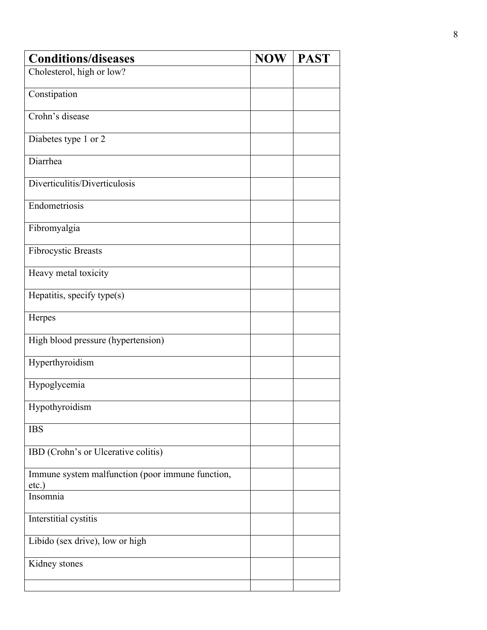| <b>Conditions/diseases</b>                       | <b>NOW</b> | <b>PAST</b> |
|--------------------------------------------------|------------|-------------|
| Cholesterol, high or low?                        |            |             |
| Constipation                                     |            |             |
|                                                  |            |             |
| Crohn's disease                                  |            |             |
| Diabetes type 1 or 2                             |            |             |
|                                                  |            |             |
| Diarrhea                                         |            |             |
| Diverticulitis/Diverticulosis                    |            |             |
|                                                  |            |             |
| Endometriosis                                    |            |             |
| Fibromyalgia                                     |            |             |
|                                                  |            |             |
| <b>Fibrocystic Breasts</b>                       |            |             |
|                                                  |            |             |
| Heavy metal toxicity                             |            |             |
| Hepatitis, specify type(s)                       |            |             |
|                                                  |            |             |
| Herpes                                           |            |             |
| High blood pressure (hypertension)               |            |             |
|                                                  |            |             |
| Hyperthyroidism                                  |            |             |
| Hypoglycemia                                     |            |             |
|                                                  |            |             |
| Hypothyroidism                                   |            |             |
| <b>IBS</b>                                       |            |             |
|                                                  |            |             |
| IBD (Crohn's or Ulcerative colitis)              |            |             |
| Immune system malfunction (poor immune function, |            |             |
| etc.)                                            |            |             |
| Insomnia                                         |            |             |
|                                                  |            |             |
| Interstitial cystitis                            |            |             |
| Libido (sex drive), low or high                  |            |             |
|                                                  |            |             |
| Kidney stones                                    |            |             |
|                                                  |            |             |